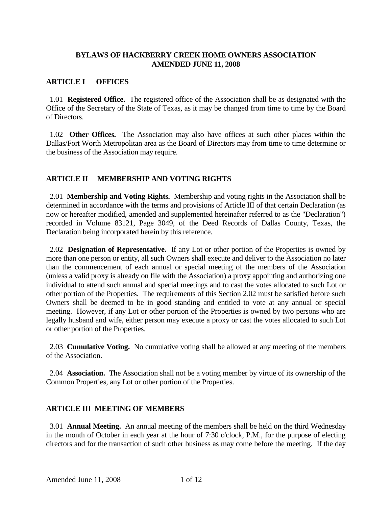### **BYLAWS OF HACKBERRY CREEK HOME OWNERS ASSOCIATION AMENDED JUNE 11, 2008**

### **ARTICLE I OFFICES**

 1.01 **Registered Office.** The registered office of the Association shall be as designated with the Office of the Secretary of the State of Texas, as it may be changed from time to time by the Board of Directors.

 1.02 **Other Offices.** The Association may also have offices at such other places within the Dallas/Fort Worth Metropolitan area as the Board of Directors may from time to time determine or the business of the Association may require.

### **ARTICLE II MEMBERSHIP AND VOTING RIGHTS**

2.01 **Membership and Voting Rights.** Membership and voting rights in the Association shall be determined in accordance with the terms and provisions of Article III of that certain Declaration (as now or hereafter modified, amended and supplemented hereinafter referred to as the "Declaration") recorded in Volume 83121, Page 3049, of the Deed Records of Dallas County, Texas, the Declaration being incorporated herein by this reference.

 2.02 **Designation of Representative.** If any Lot or other portion of the Properties is owned by more than one person or entity, all such Owners shall execute and deliver to the Association no later than the commencement of each annual or special meeting of the members of the Association (unless a valid proxy is already on file with the Association) a proxy appointing and authorizing one individual to attend such annual and special meetings and to cast the votes allocated to such Lot or other portion of the Properties. The requirements of this Section 2.02 must be satisfied before such Owners shall be deemed to be in good standing and entitled to vote at any annual or special meeting. However, if any Lot or other portion of the Properties is owned by two persons who are legally husband and wife, either person may execute a proxy or cast the votes allocated to such Lot or other portion of the Properties.

 2.03 **Cumulative Voting.** No cumulative voting shall be allowed at any meeting of the members of the Association.

 2.04 **Association.** The Association shall not be a voting member by virtue of its ownership of the Common Properties, any Lot or other portion of the Properties.

# **ARTICLE III MEETING OF MEMBERS**

 3.01 **Annual Meeting.** An annual meeting of the members shall be held on the third Wednesday in the month of October in each year at the hour of 7:30 o'clock, P.M., for the purpose of electing directors and for the transaction of such other business as may come before the meeting. If the day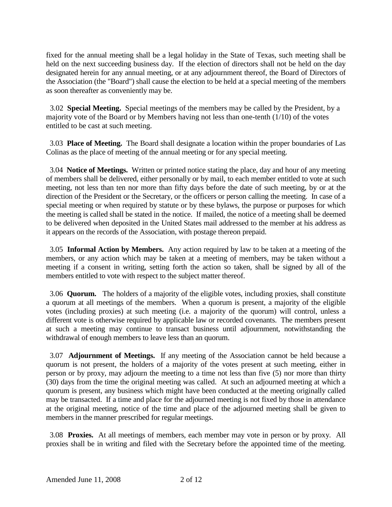fixed for the annual meeting shall be a legal holiday in the State of Texas, such meeting shall be held on the next succeeding business day. If the election of directors shall not be held on the day designated herein for any annual meeting, or at any adjournment thereof, the Board of Directors of the Association (the "Board") shall cause the election to be held at a special meeting of the members as soon thereafter as conveniently may be.

 3.02 **Special Meeting.** Special meetings of the members may be called by the President, by a majority vote of the Board or by Members having not less than one-tenth (1/10) of the votes entitled to be cast at such meeting.

 3.03 **Place of Meeting.** The Board shall designate a location within the proper boundaries of Las Colinas as the place of meeting of the annual meeting or for any special meeting.

 3.04 **Notice of Meetings.** Written or printed notice stating the place, day and hour of any meeting of members shall be delivered, either personally or by mail, to each member entitled to vote at such meeting, not less than ten nor more than fifty days before the date of such meeting, by or at the direction of the President or the Secretary, or the officers or person calling the meeting. In case of a special meeting or when required by statute or by these bylaws, the purpose or purposes for which the meeting is called shall be stated in the notice. If mailed, the notice of a meeting shall be deemed to be delivered when deposited in the United States mail addressed to the member at his address as it appears on the records of the Association, with postage thereon prepaid.

 3.05 **Informal Action by Members.** Any action required by law to be taken at a meeting of the members, or any action which may be taken at a meeting of members, may be taken without a meeting if a consent in writing, setting forth the action so taken, shall be signed by all of the members entitled to vote with respect to the subject matter thereof.

 3.06 **Quorum.** The holders of a majority of the eligible votes, including proxies, shall constitute a quorum at all meetings of the members. When a quorum is present, a majority of the eligible votes (including proxies) at such meeting (i.e. a majority of the quorum) will control, unless a different vote is otherwise required by applicable law or recorded covenants. The members present at such a meeting may continue to transact business until adjournment, notwithstanding the withdrawal of enough members to leave less than an quorum.

 3.07 **Adjournment of Meetings.** If any meeting of the Association cannot be held because a quorum is not present, the holders of a majority of the votes present at such meeting, either in person or by proxy, may adjourn the meeting to a time not less than five (5) nor more than thirty (30) days from the time the original meeting was called. At such an adjourned meeting at which a quorum is present, any business which might have been conducted at the meeting originally called may be transacted. If a time and place for the adjourned meeting is not fixed by those in attendance at the original meeting, notice of the time and place of the adjourned meeting shall be given to members in the manner prescribed for regular meetings.

 3.08 **Proxies.** At all meetings of members, each member may vote in person or by proxy. All proxies shall be in writing and filed with the Secretary before the appointed time of the meeting.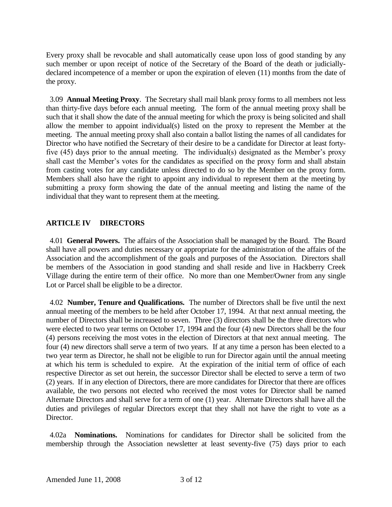Every proxy shall be revocable and shall automatically cease upon loss of good standing by any such member or upon receipt of notice of the Secretary of the Board of the death or judiciallydeclared incompetence of a member or upon the expiration of eleven (11) months from the date of the proxy.

 3.09 **Annual Meeting Proxy**. The Secretary shall mail blank proxy forms to all members not less than thirty-five days before each annual meeting. The form of the annual meeting proxy shall be such that it shall show the date of the annual meeting for which the proxy is being solicited and shall allow the member to appoint individual(s) listed on the proxy to represent the Member at the meeting. The annual meeting proxy shall also contain a ballot listing the names of all candidates for Director who have notified the Secretary of their desire to be a candidate for Director at least fortyfive (45) days prior to the annual meeting. The individual(s) designated as the Member's proxy shall cast the Member's votes for the candidates as specified on the proxy form and shall abstain from casting votes for any candidate unless directed to do so by the Member on the proxy form. Members shall also have the right to appoint any individual to represent them at the meeting by submitting a proxy form showing the date of the annual meeting and listing the name of the individual that they want to represent them at the meeting.

# **ARTICLE IV DIRECTORS**

4.01 **General Powers.** The affairs of the Association shall be managed by the Board. The Board shall have all powers and duties necessary or appropriate for the administration of the affairs of the Association and the accomplishment of the goals and purposes of the Association. Directors shall be members of the Association in good standing and shall reside and live in Hackberry Creek Village during the entire term of their office. No more than one Member/Owner from any single Lot or Parcel shall be eligible to be a director.

 4.02 **Number, Tenure and Qualifications.** The number of Directors shall be five until the next annual meeting of the members to be held after October 17, 1994. At that next annual meeting, the number of Directors shall be increased to seven. Three (3) directors shall be the three directors who were elected to two year terms on October 17, 1994 and the four (4) new Directors shall be the four (4) persons receiving the most votes in the election of Directors at that next annual meeting. The four (4) new directors shall serve a term of two years. If at any time a person has been elected to a two year term as Director, he shall not be eligible to run for Director again until the annual meeting at which his term is scheduled to expire. At the expiration of the initial term of office of each respective Director as set out herein, the successor Director shall be elected to serve a term of two (2) years. If in any election of Directors, there are more candidates for Director that there are offices available, the two persons not elected who received the most votes for Director shall be named Alternate Directors and shall serve for a term of one (1) year. Alternate Directors shall have all the duties and privileges of regular Directors except that they shall not have the right to vote as a Director.

 4.02a **Nominations.** Nominations for candidates for Director shall be solicited from the membership through the Association newsletter at least seventy-five (75) days prior to each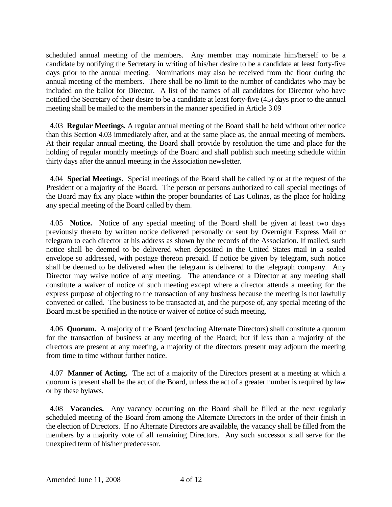scheduled annual meeting of the members. Any member may nominate him/herself to be a candidate by notifying the Secretary in writing of his/her desire to be a candidate at least forty-five days prior to the annual meeting. Nominations may also be received from the floor during the annual meeting of the members. There shall be no limit to the number of candidates who may be included on the ballot for Director. A list of the names of all candidates for Director who have notified the Secretary of their desire to be a candidate at least forty-five (45) days prior to the annual meeting shall be mailed to the members in the manner specified in Article 3.09

4.03 **Regular Meetings.** A regular annual meeting of the Board shall be held without other notice than this Section 4.03 immediately after, and at the same place as, the annual meeting of members. At their regular annual meeting, the Board shall provide by resolution the time and place for the holding of regular monthly meetings of the Board and shall publish such meeting schedule within thirty days after the annual meeting in the Association newsletter.

 4.04 **Special Meetings.** Special meetings of the Board shall be called by or at the request of the President or a majority of the Board. The person or persons authorized to call special meetings of the Board may fix any place within the proper boundaries of Las Colinas, as the place for holding any special meeting of the Board called by them.

 4.05 **Notice.** Notice of any special meeting of the Board shall be given at least two days previously thereto by written notice delivered personally or sent by Overnight Express Mail or telegram to each director at his address as shown by the records of the Association. If mailed, such notice shall be deemed to be delivered when deposited in the United States mail in a sealed envelope so addressed, with postage thereon prepaid. If notice be given by telegram, such notice shall be deemed to be delivered when the telegram is delivered to the telegraph company. Any Director may waive notice of any meeting. The attendance of a Director at any meeting shall constitute a waiver of notice of such meeting except where a director attends a meeting for the express purpose of objecting to the transaction of any business because the meeting is not lawfully convened or called. The business to be transacted at, and the purpose of, any special meeting of the Board must be specified in the notice or waiver of notice of such meeting.

 4.06 **Quorum.** A majority of the Board (excluding Alternate Directors) shall constitute a quorum for the transaction of business at any meeting of the Board; but if less than a majority of the directors are present at any meeting, a majority of the directors present may adjourn the meeting from time to time without further notice.

 4.07 **Manner of Acting.** The act of a majority of the Directors present at a meeting at which a quorum is present shall be the act of the Board, unless the act of a greater number is required by law or by these bylaws.

 4.08 **Vacancies.** Any vacancy occurring on the Board shall be filled at the next regularly scheduled meeting of the Board from among the Alternate Directors in the order of their finish in the election of Directors. If no Alternate Directors are available, the vacancy shall be filled from the members by a majority vote of all remaining Directors. Any such successor shall serve for the unexpired term of his/her predecessor.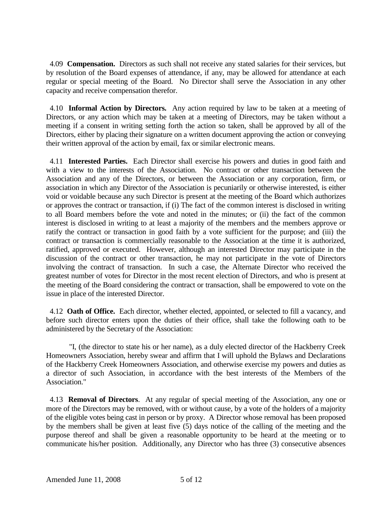4.09 **Compensation.** Directors as such shall not receive any stated salaries for their services, but by resolution of the Board expenses of attendance, if any, may be allowed for attendance at each regular or special meeting of the Board. No Director shall serve the Association in any other capacity and receive compensation therefor.

 4.10 **Informal Action by Directors.** Any action required by law to be taken at a meeting of Directors, or any action which may be taken at a meeting of Directors, may be taken without a meeting if a consent in writing setting forth the action so taken, shall be approved by all of the Directors, either by placing their signature on a written document approving the action or conveying their written approval of the action by email, fax or similar electronic means.

 4.11 **Interested Parties.** Each Director shall exercise his powers and duties in good faith and with a view to the interests of the Association. No contract or other transaction between the Association and any of the Directors, or between the Association or any corporation, firm, or association in which any Director of the Association is pecuniarily or otherwise interested, is either void or voidable because any such Director is present at the meeting of the Board which authorizes or approves the contract or transaction, if (i) The fact of the common interest is disclosed in writing to all Board members before the vote and noted in the minutes; or (ii) the fact of the common interest is disclosed in writing to at least a majority of the members and the members approve or ratify the contract or transaction in good faith by a vote sufficient for the purpose; and (iii) the contract or transaction is commercially reasonable to the Association at the time it is authorized, ratified, approved or executed. However, although an interested Director may participate in the discussion of the contract or other transaction, he may not participate in the vote of Directors involving the contract of transaction. In such a case, the Alternate Director who received the greatest number of votes for Director in the most recent election of Directors, and who is present at the meeting of the Board considering the contract or transaction, shall be empowered to vote on the issue in place of the interested Director.

 4.12 **Oath of Office.** Each director, whether elected, appointed, or selected to fill a vacancy, and before such director enters upon the duties of their office, shall take the following oath to be administered by the Secretary of the Association:

"I, (the director to state his or her name), as a duly elected director of the Hackberry Creek Homeowners Association, hereby swear and affirm that I will uphold the Bylaws and Declarations of the Hackberry Creek Homeowners Association, and otherwise exercise my powers and duties as a director of such Association, in accordance with the best interests of the Members of the Association."

 4.13 **Removal of Directors**. At any regular of special meeting of the Association, any one or more of the Directors may be removed, with or without cause, by a vote of the holders of a majority of the eligible votes being cast in person or by proxy. A Director whose removal has been proposed by the members shall be given at least five (5) days notice of the calling of the meeting and the purpose thereof and shall be given a reasonable opportunity to be heard at the meeting or to communicate his/her position. Additionally, any Director who has three (3) consecutive absences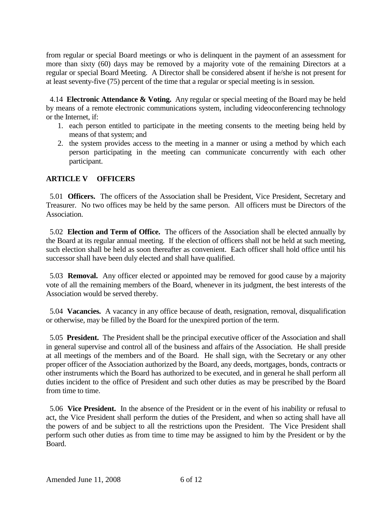from regular or special Board meetings or who is delinquent in the payment of an assessment for more than sixty (60) days may be removed by a majority vote of the remaining Directors at a regular or special Board Meeting. A Director shall be considered absent if he/she is not present for at least seventy-five (75) percent of the time that a regular or special meeting is in session.

4.14 **Electronic Attendance & Voting.** Any regular or special meeting of the Board may be held by means of a remote electronic communications system, including videoconferencing technology or the Internet, if:

- 1. each person entitled to participate in the meeting consents to the meeting being held by means of that system; and
- 2. the system provides access to the meeting in a manner or using a method by which each person participating in the meeting can communicate concurrently with each other participant.

### **ARTICLE V OFFICERS**

5.01 **Officers.** The officers of the Association shall be President, Vice President, Secretary and Treasurer. No two offices may be held by the same person. All officers must be Directors of the Association.

 5.02 **Election and Term of Office.** The officers of the Association shall be elected annually by the Board at its regular annual meeting. If the election of officers shall not be held at such meeting, such election shall be held as soon thereafter as convenient. Each officer shall hold office until his successor shall have been duly elected and shall have qualified.

 5.03 **Removal.** Any officer elected or appointed may be removed for good cause by a majority vote of all the remaining members of the Board, whenever in its judgment, the best interests of the Association would be served thereby.

 5.04 **Vacancies.** A vacancy in any office because of death, resignation, removal, disqualification or otherwise, may be filled by the Board for the unexpired portion of the term.

 5.05 **President.** The President shall be the principal executive officer of the Association and shall in general supervise and control all of the business and affairs of the Association. He shall preside at all meetings of the members and of the Board. He shall sign, with the Secretary or any other proper officer of the Association authorized by the Board, any deeds, mortgages, bonds, contracts or other instruments which the Board has authorized to be executed, and in general he shall perform all duties incident to the office of President and such other duties as may be prescribed by the Board from time to time.

 5.06 **Vice President.** In the absence of the President or in the event of his inability or refusal to act, the Vice President shall perform the duties of the President, and when so acting shall have all the powers of and be subject to all the restrictions upon the President. The Vice President shall perform such other duties as from time to time may be assigned to him by the President or by the Board.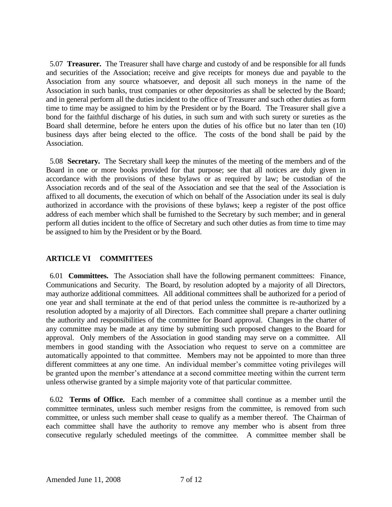5.07 **Treasurer.** The Treasurer shall have charge and custody of and be responsible for all funds and securities of the Association; receive and give receipts for moneys due and payable to the Association from any source whatsoever, and deposit all such moneys in the name of the Association in such banks, trust companies or other depositories as shall be selected by the Board; and in general perform all the duties incident to the office of Treasurer and such other duties as form time to time may be assigned to him by the President or by the Board. The Treasurer shall give a bond for the faithful discharge of his duties, in such sum and with such surety or sureties as the Board shall determine, before he enters upon the duties of his office but no later than ten (10) business days after being elected to the office. The costs of the bond shall be paid by the Association.

 5.08 **Secretary.** The Secretary shall keep the minutes of the meeting of the members and of the Board in one or more books provided for that purpose; see that all notices are duly given in accordance with the provisions of these bylaws or as required by law; be custodian of the Association records and of the seal of the Association and see that the seal of the Association is affixed to all documents, the execution of which on behalf of the Association under its seal is duly authorized in accordance with the provisions of these bylaws; keep a register of the post office address of each member which shall be furnished to the Secretary by such member; and in general perform all duties incident to the office of Secretary and such other duties as from time to time may be assigned to him by the President or by the Board.

# **ARTICLE VI COMMITTEES**

 6.01 **Committees.** The Association shall have the following permanent committees: Finance, Communications and Security. The Board, by resolution adopted by a majority of all Directors, may authorize additional committees. All additional committees shall be authorized for a period of one year and shall terminate at the end of that period unless the committee is re-authorized by a resolution adopted by a majority of all Directors. Each committee shall prepare a charter outlining the authority and responsibilities of the committee for Board approval. Changes in the charter of any committee may be made at any time by submitting such proposed changes to the Board for approval. Only members of the Association in good standing may serve on a committee. All members in good standing with the Association who request to serve on a committee are automatically appointed to that committee. Members may not be appointed to more than three different committees at any one time. An individual member's committee voting privileges will be granted upon the member's attendance at a second committee meeting within the current term unless otherwise granted by a simple majority vote of that particular committee.

 6.02 **Terms of Office.** Each member of a committee shall continue as a member until the committee terminates, unless such member resigns from the committee, is removed from such committee, or unless such member shall cease to qualify as a member thereof. The Chairman of each committee shall have the authority to remove any member who is absent from three consecutive regularly scheduled meetings of the committee. A committee member shall be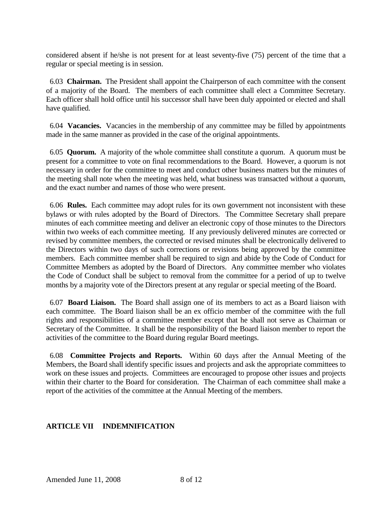considered absent if he/she is not present for at least seventy-five (75) percent of the time that a regular or special meeting is in session.

 6.03 **Chairman.** The President shall appoint the Chairperson of each committee with the consent of a majority of the Board. The members of each committee shall elect a Committee Secretary. Each officer shall hold office until his successor shall have been duly appointed or elected and shall have qualified.

 6.04 **Vacancies.** Vacancies in the membership of any committee may be filled by appointments made in the same manner as provided in the case of the original appointments.

 6.05 **Quorum.** A majority of the whole committee shall constitute a quorum. A quorum must be present for a committee to vote on final recommendations to the Board. However, a quorum is not necessary in order for the committee to meet and conduct other business matters but the minutes of the meeting shall note when the meeting was held, what business was transacted without a quorum, and the exact number and names of those who were present.

6.06 **Rules.** Each committee may adopt rules for its own government not inconsistent with these bylaws or with rules adopted by the Board of Directors. The Committee Secretary shall prepare minutes of each committee meeting and deliver an electronic copy of those minutes to the Directors within two weeks of each committee meeting. If any previously delivered minutes are corrected or revised by committee members, the corrected or revised minutes shall be electronically delivered to the Directors within two days of such corrections or revisions being approved by the committee members. Each committee member shall be required to sign and abide by the Code of Conduct for Committee Members as adopted by the Board of Directors. Any committee member who violates the Code of Conduct shall be subject to removal from the committee for a period of up to twelve months by a majority vote of the Directors present at any regular or special meeting of the Board.

 6.07 **Board Liaison.** The Board shall assign one of its members to act as a Board liaison with each committee. The Board liaison shall be an ex officio member of the committee with the full rights and responsibilities of a committee member except that he shall not serve as Chairman or Secretary of the Committee. It shall be the responsibility of the Board liaison member to report the activities of the committee to the Board during regular Board meetings.

 6.08 **Committee Projects and Reports.** Within 60 days after the Annual Meeting of the Members, the Board shall identify specific issues and projects and ask the appropriate committees to work on these issues and projects. Committees are encouraged to propose other issues and projects within their charter to the Board for consideration. The Chairman of each committee shall make a report of the activities of the committee at the Annual Meeting of the members.

# **ARTICLE VII INDEMNIFICATION**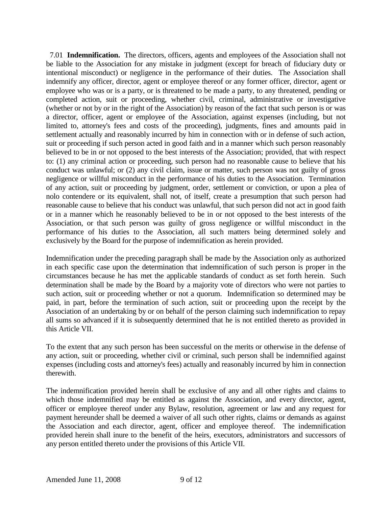7.01 **Indemnification.** The directors, officers, agents and employees of the Association shall not be liable to the Association for any mistake in judgment (except for breach of fiduciary duty or intentional misconduct) or negligence in the performance of their duties. The Association shall indemnify any officer, director, agent or employee thereof or any former officer, director, agent or employee who was or is a party, or is threatened to be made a party, to any threatened, pending or completed action, suit or proceeding, whether civil, criminal, administrative or investigative (whether or not by or in the right of the Association) by reason of the fact that such person is or was a director, officer, agent or employee of the Association, against expenses (including, but not limited to, attorney's fees and costs of the proceeding), judgments, fines and amounts paid in settlement actually and reasonably incurred by him in connection with or in defense of such action, suit or proceeding if such person acted in good faith and in a manner which such person reasonably believed to be in or not opposed to the best interests of the Association; provided, that with respect to: (1) any criminal action or proceeding, such person had no reasonable cause to believe that his conduct was unlawful; or (2) any civil claim, issue or matter, such person was not guilty of gross negligence or willful misconduct in the performance of his duties to the Association. Termination of any action, suit or proceeding by judgment, order, settlement or conviction, or upon a plea of nolo contendere or its equivalent, shall not, of itself, create a presumption that such person had reasonable cause to believe that his conduct was unlawful, that such person did not act in good faith or in a manner which he reasonably believed to be in or not opposed to the best interests of the Association, or that such person was guilty of gross negligence or willful misconduct in the performance of his duties to the Association, all such matters being determined solely and exclusively by the Board for the purpose of indemnification as herein provided.

Indemnification under the preceding paragraph shall be made by the Association only as authorized in each specific case upon the determination that indemnification of such person is proper in the circumstances because he has met the applicable standards of conduct as set forth herein. Such determination shall be made by the Board by a majority vote of directors who were not parties to such action, suit or proceeding whether or not a quorum. Indemnification so determined may be paid, in part, before the termination of such action, suit or proceeding upon the receipt by the Association of an undertaking by or on behalf of the person claiming such indemnification to repay all sums so advanced if it is subsequently determined that he is not entitled thereto as provided in this Article VII.

To the extent that any such person has been successful on the merits or otherwise in the defense of any action, suit or proceeding, whether civil or criminal, such person shall be indemnified against expenses (including costs and attorney's fees) actually and reasonably incurred by him in connection therewith.

The indemnification provided herein shall be exclusive of any and all other rights and claims to which those indemnified may be entitled as against the Association, and every director, agent, officer or employee thereof under any Bylaw, resolution, agreement or law and any request for payment hereunder shall be deemed a waiver of all such other rights, claims or demands as against the Association and each director, agent, officer and employee thereof. The indemnification provided herein shall inure to the benefit of the heirs, executors, administrators and successors of any person entitled thereto under the provisions of this Article VII.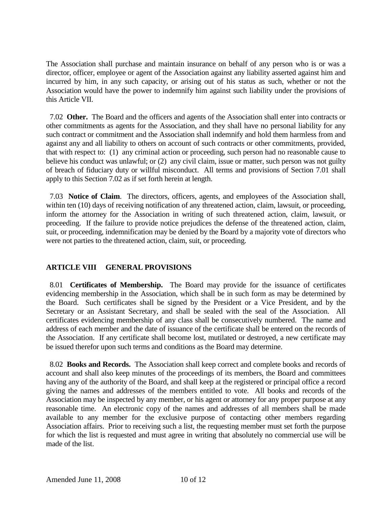The Association shall purchase and maintain insurance on behalf of any person who is or was a director, officer, employee or agent of the Association against any liability asserted against him and incurred by him, in any such capacity, or arising out of his status as such, whether or not the Association would have the power to indemnify him against such liability under the provisions of this Article VII.

 7.02 **Other.** The Board and the officers and agents of the Association shall enter into contracts or other commitments as agents for the Association, and they shall have no personal liability for any such contract or commitment and the Association shall indemnify and hold them harmless from and against any and all liability to others on account of such contracts or other commitments, provided, that with respect to: (1) any criminal action or proceeding, such person had no reasonable cause to believe his conduct was unlawful; or (2) any civil claim, issue or matter, such person was not guilty of breach of fiduciary duty or willful misconduct. All terms and provisions of Section 7.01 shall apply to this Section 7.02 as if set forth herein at length.

 7.03 **Notice of Claim**. The directors, officers, agents, and employees of the Association shall, within ten (10) days of receiving notification of any threatened action, claim, lawsuit, or proceeding, inform the attorney for the Association in writing of such threatened action, claim, lawsuit, or proceeding. If the failure to provide notice prejudices the defense of the threatened action, claim, suit, or proceeding, indemnification may be denied by the Board by a majority vote of directors who were not parties to the threatened action, claim, suit, or proceeding.

# **ARTICLE VIII GENERAL PROVISIONS**

 8.01 **Certificates of Membership.** The Board may provide for the issuance of certificates evidencing membership in the Association, which shall be in such form as may be determined by the Board. Such certificates shall be signed by the President or a Vice President, and by the Secretary or an Assistant Secretary, and shall be sealed with the seal of the Association. All certificates evidencing membership of any class shall be consecutively numbered. The name and address of each member and the date of issuance of the certificate shall be entered on the records of the Association. If any certificate shall become lost, mutilated or destroyed, a new certificate may be issued therefor upon such terms and conditions as the Board may determine.

 8.02 **Books and Records.** The Association shall keep correct and complete books and records of account and shall also keep minutes of the proceedings of its members, the Board and committees having any of the authority of the Board, and shall keep at the registered or principal office a record giving the names and addresses of the members entitled to vote. All books and records of the Association may be inspected by any member, or his agent or attorney for any proper purpose at any reasonable time. An electronic copy of the names and addresses of all members shall be made available to any member for the exclusive purpose of contacting other members regarding Association affairs. Prior to receiving such a list, the requesting member must set forth the purpose for which the list is requested and must agree in writing that absolutely no commercial use will be made of the list.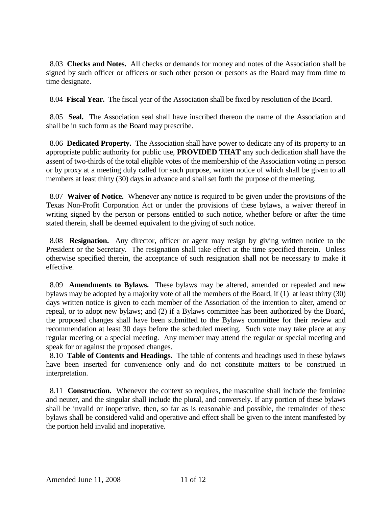8.03 **Checks and Notes.** All checks or demands for money and notes of the Association shall be signed by such officer or officers or such other person or persons as the Board may from time to time designate.

8.04 **Fiscal Year.** The fiscal year of the Association shall be fixed by resolution of the Board.

 8.05 **Seal.** The Association seal shall have inscribed thereon the name of the Association and shall be in such form as the Board may prescribe.

 8.06 **Dedicated Property.** The Association shall have power to dedicate any of its property to an appropriate public authority for public use, **PROVIDED THAT** any such dedication shall have the assent of two-thirds of the total eligible votes of the membership of the Association voting in person or by proxy at a meeting duly called for such purpose, written notice of which shall be given to all members at least thirty (30) days in advance and shall set forth the purpose of the meeting.

 8.07 **Waiver of Notice.** Whenever any notice is required to be given under the provisions of the Texas Non-Profit Corporation Act or under the provisions of these bylaws, a waiver thereof in writing signed by the person or persons entitled to such notice, whether before or after the time stated therein, shall be deemed equivalent to the giving of such notice.

 8.08 **Resignation.** Any director, officer or agent may resign by giving written notice to the President or the Secretary. The resignation shall take effect at the time specified therein. Unless otherwise specified therein, the acceptance of such resignation shall not be necessary to make it effective.

 8.09 **Amendments to Bylaws.** These bylaws may be altered, amended or repealed and new bylaws may be adopted by a majority vote of all the members of the Board, if (1) at least thirty (30) days written notice is given to each member of the Association of the intention to alter, amend or repeal, or to adopt new bylaws; and (2) if a Bylaws committee has been authorized by the Board, the proposed changes shall have been submitted to the Bylaws committee for their review and recommendation at least 30 days before the scheduled meeting. Such vote may take place at any regular meeting or a special meeting. Any member may attend the regular or special meeting and speak for or against the proposed changes.

 8.10 **Table of Contents and Headings.** The table of contents and headings used in these bylaws have been inserted for convenience only and do not constitute matters to be construed in interpretation.

 8.11 **Construction.** Whenever the context so requires, the masculine shall include the feminine and neuter, and the singular shall include the plural, and conversely. If any portion of these bylaws shall be invalid or inoperative, then, so far as is reasonable and possible, the remainder of these bylaws shall be considered valid and operative and effect shall be given to the intent manifested by the portion held invalid and inoperative.